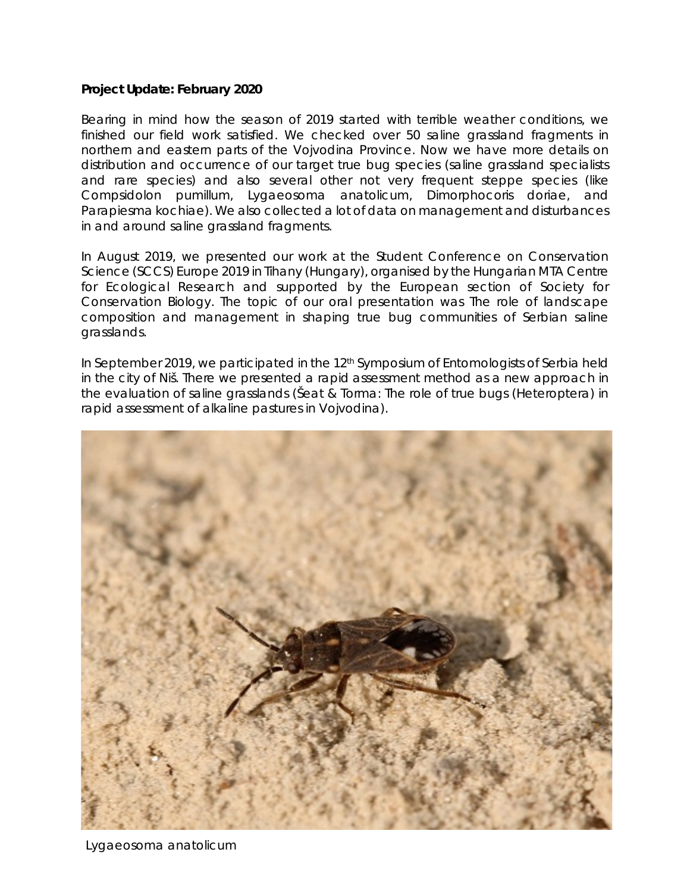## **Project Update: February 2020**

Bearing in mind how the season of 2019 started with terrible weather conditions, we finished our field work satisfied. We checked over 50 saline grassland fragments in northern and eastern parts of the Vojvodina Province. Now we have more details on distribution and occurrence of our target true bug species (saline grassland specialists and rare species) and also several other not very frequent steppe species (like *Compsidolon pumillum, Lygaeosoma anatolicum, Dimorphocoris doriae,* and *Parapiesma kochiae*). We also collected a lot of data on management and disturbances in and around saline grassland fragments.

In August 2019, we presented our work at the Student Conference on Conservation Science (SCCS) Europe 2019 in Tihany (Hungary), organised by the Hungarian MTA Centre for Ecological Research and supported by the European section of Society for Conservation Biology. The topic of our oral presentation was *The role of landscape composition and management in shaping true bug communities of Serbian saline grasslands*.

In September 2019, we participated in the 12<sup>th</sup> Symposium of Entomologists of Serbia held in the city of Niš. There we presented a rapid assessment method as a new approach in the evaluation of saline grasslands (Šeat & Torma: *The role of true bugs (Heteroptera) in rapid assessment of alkaline pastures in Vojvodina*).



*Lygaeosoma anatolicum*